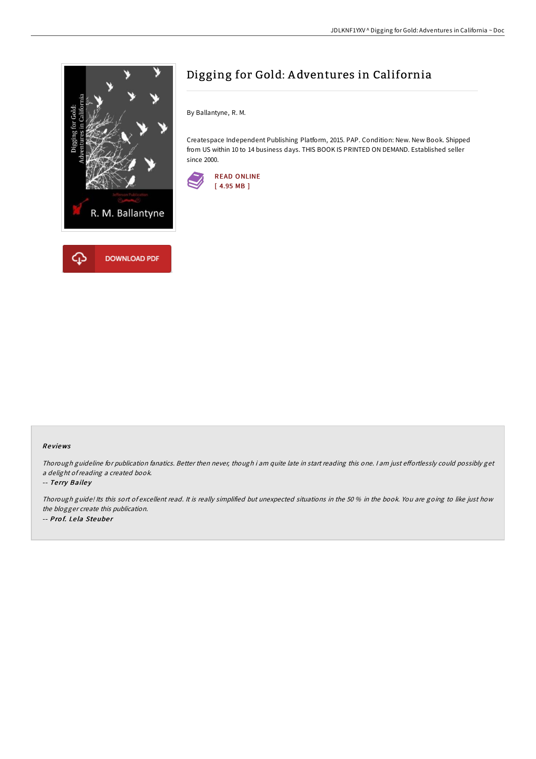

# Digging for Gold: A dventures in California

By Ballantyne, R. M.

Createspace Independent Publishing Platform, 2015. PAP. Condition: New. New Book. Shipped from US within 10 to 14 business days. THIS BOOK IS PRINTED ON DEMAND. Established seller since 2000.



### Re views

Thorough guideline for publication fanatics. Better then never, though i am quite late in start reading this one. I am just effortlessly could possibly get <sup>a</sup> delight ofreading <sup>a</sup> created book.

#### -- Terry Bailey

Thorough guide! Its this sort of excellent read. It is really simplified but unexpected situations in the 50 % in the book. You are going to like just how the blogger create this publication. -- Prof. Lela Steuber